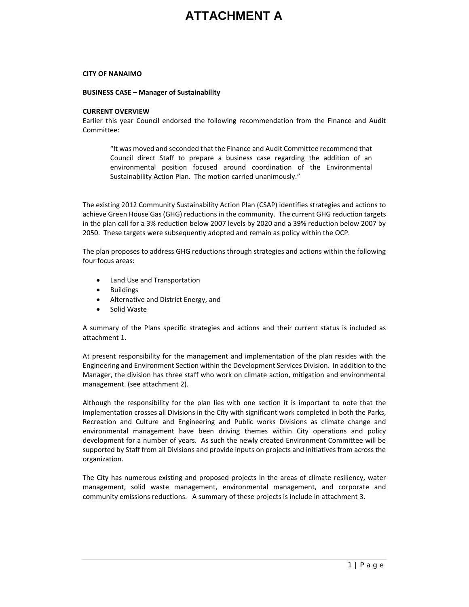# **ATTACHMENT A**

#### **CITY OF NANAIMO**

#### **BUSINESS CASE – Manager of Sustainability**

#### **CURRENT OVERVIEW**

Earlier this year Council endorsed the following recommendation from the Finance and Audit Committee:

"It was moved and seconded that the Finance and Audit Committee recommend that Council direct Staff to prepare a business case regarding the addition of an environmental position focused around coordination of the Environmental Sustainability Action Plan. The motion carried unanimously."

The existing 2012 Community Sustainability Action Plan (CSAP) identifies strategies and actions to achieve Green House Gas (GHG) reductions in the community. The current GHG reduction targets in the plan call for a 3% reduction below 2007 levels by 2020 and a 39% reduction below 2007 by 2050. These targets were subsequently adopted and remain as policy within the OCP.

The plan proposes to address GHG reductions through strategies and actions within the following four focus areas:

- Land Use and Transportation
- Buildings
- Alternative and District Energy, and
- Solid Waste

A summary of the Plans specific strategies and actions and their current status is included as attachment 1.

At present responsibility for the management and implementation of the plan resides with the Engineering and Environment Section within the Development Services Division. In addition to the Manager, the division has three staff who work on climate action, mitigation and environmental management. (see attachment 2).

Although the responsibility for the plan lies with one section it is important to note that the implementation crosses all Divisions in the City with significant work completed in both the Parks, Recreation and Culture and Engineering and Public works Divisions as climate change and environmental management have been driving themes within City operations and policy development for a number of years. As such the newly created Environment Committee will be supported by Staff from all Divisions and provide inputs on projects and initiatives from across the organization.

The City has numerous existing and proposed projects in the areas of climate resiliency, water management, solid waste management, environmental management, and corporate and community emissions reductions. A summary of these projects is include in attachment 3.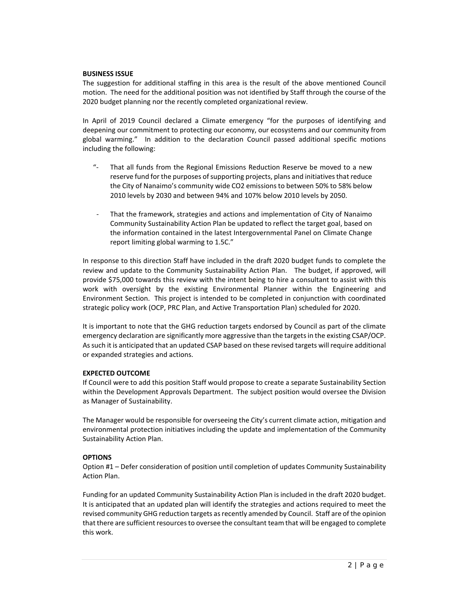### **BUSINESS ISSUE**

The suggestion for additional staffing in this area is the result of the above mentioned Council motion. The need for the additional position was not identified by Staff through the course of the 2020 budget planning nor the recently completed organizational review.

In April of 2019 Council declared a Climate emergency "for the purposes of identifying and deepening our commitment to protecting our economy, our ecosystems and our community from global warming." In addition to the declaration Council passed additional specific motions including the following:

- "- That all funds from the Regional Emissions Reduction Reserve be moved to a new reserve fund for the purposes of supporting projects, plans and initiatives that reduce the City of Nanaimo's community wide CO2 emissions to between 50% to 58% below 2010 levels by 2030 and between 94% and 107% below 2010 levels by 2050.
- That the framework, strategies and actions and implementation of City of Nanaimo Community Sustainability Action Plan be updated to reflect the target goal, based on the information contained in the latest Intergovernmental Panel on Climate Change report limiting global warming to 1.5C."

In response to this direction Staff have included in the draft 2020 budget funds to complete the review and update to the Community Sustainability Action Plan. The budget, if approved, will provide \$75,000 towards this review with the intent being to hire a consultant to assist with this work with oversight by the existing Environmental Planner within the Engineering and Environment Section. This project is intended to be completed in conjunction with coordinated strategic policy work (OCP, PRC Plan, and Active Transportation Plan) scheduled for 2020.

It is important to note that the GHG reduction targets endorsed by Council as part of the climate emergency declaration are significantly more aggressive than the targets in the existing CSAP/OCP. As such it is anticipated that an updated CSAP based on these revised targets will require additional or expanded strategies and actions.

### **EXPECTED OUTCOME**

If Council were to add this position Staff would propose to create a separate Sustainability Section within the Development Approvals Department. The subject position would oversee the Division as Manager of Sustainability.

The Manager would be responsible for overseeing the City's current climate action, mitigation and environmental protection initiatives including the update and implementation of the Community Sustainability Action Plan.

### **OPTIONS**

Option #1 – Defer consideration of position until completion of updates Community Sustainability Action Plan.

Funding for an updated Community Sustainability Action Plan is included in the draft 2020 budget. It is anticipated that an updated plan will identify the strategies and actions required to meet the revised community GHG reduction targets as recently amended by Council. Staff are of the opinion that there are sufficient resources to oversee the consultant team that will be engaged to complete this work.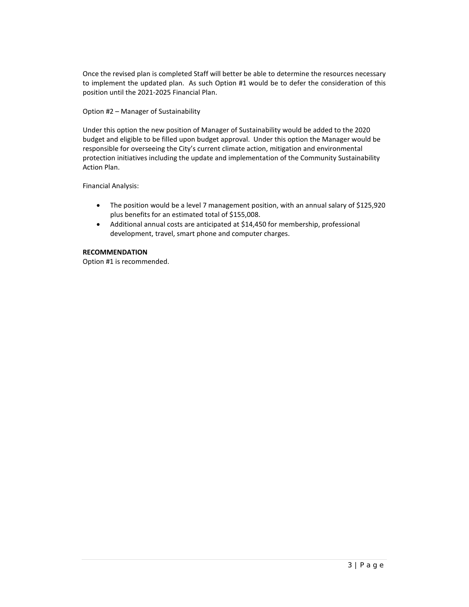Once the revised plan is completed Staff will better be able to determine the resources necessary to implement the updated plan. As such Option #1 would be to defer the consideration of this position until the 2021-2025 Financial Plan.

Option #2 – Manager of Sustainability

Under this option the new position of Manager of Sustainability would be added to the 2020 budget and eligible to be filled upon budget approval. Under this option the Manager would be responsible for overseeing the City's current climate action, mitigation and environmental protection initiatives including the update and implementation of the Community Sustainability Action Plan.

Financial Analysis:

- The position would be a level 7 management position, with an annual salary of \$125,920 plus benefits for an estimated total of \$155,008.
- Additional annual costs are anticipated at \$14,450 for membership, professional development, travel, smart phone and computer charges.

### **RECOMMENDATION**

Option #1 is recommended.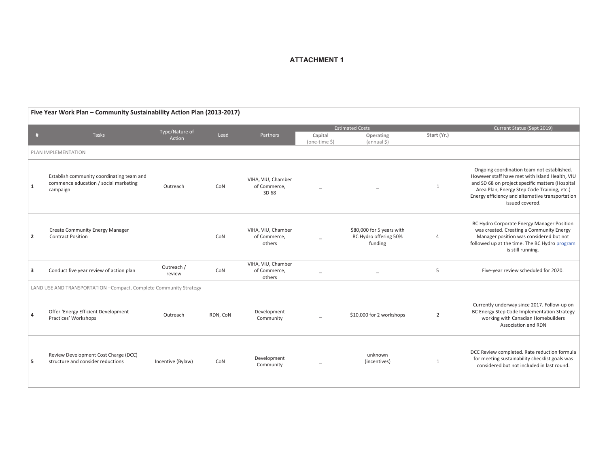### **ATTACHMENT 1**

| Five Year Work Plan - Community Sustainability Action Plan (2013-2017) |                                                                                                |                          |          |                                              |                          |                                                               |                |                                                                                                                                                                                                                                                                       |  |
|------------------------------------------------------------------------|------------------------------------------------------------------------------------------------|--------------------------|----------|----------------------------------------------|--------------------------|---------------------------------------------------------------|----------------|-----------------------------------------------------------------------------------------------------------------------------------------------------------------------------------------------------------------------------------------------------------------------|--|
|                                                                        |                                                                                                |                          |          |                                              |                          | <b>Estimated Costs</b>                                        |                | Current Status (Sept 2019)                                                                                                                                                                                                                                            |  |
| #                                                                      | <b>Tasks</b>                                                                                   | Type/Nature of<br>Action | Lead     | Partners                                     | Capital<br>(one-time \$) | Operating<br>(annual \$)                                      | Start (Yr.)    |                                                                                                                                                                                                                                                                       |  |
|                                                                        | PLAN IMPLEMENTATION                                                                            |                          |          |                                              |                          |                                                               |                |                                                                                                                                                                                                                                                                       |  |
| $\mathbf{1}$                                                           | Establish community coordinating team and<br>commence education / social marketing<br>campaign | Outreach                 | CoN      | VIHA, VIU, Chamber<br>of Commerce,<br>SD 68  |                          |                                                               | 1              | Ongoing coordination team not established.<br>However staff have met with Island Health, VIU<br>and SD 68 on project specific matters (Hospital<br>Area Plan, Energy Step Code Training, etc.)<br>Energy efficiency and alternative transportation<br>issued covered. |  |
| $\overline{2}$                                                         | <b>Create Community Energy Manager</b><br><b>Contract Position</b>                             |                          | CoN      | VIHA, VIU, Chamber<br>of Commerce,<br>others |                          | \$80,000 for 5 years with<br>BC Hydro offering 50%<br>funding | $\overline{4}$ | BC Hydro Corporate Energy Manager Position<br>was created. Creating a Community Energy<br>Manager position was considered but not<br>followed up at the time. The BC Hydro program<br>is still running.                                                               |  |
| 3                                                                      | Conduct five year review of action plan                                                        | Outreach /<br>review     | CoN      | VIHA, VIU, Chamber<br>of Commerce,<br>others |                          | $\overline{\phantom{a}}$                                      | 5              | Five-year review scheduled for 2020.                                                                                                                                                                                                                                  |  |
|                                                                        | LAND USE AND TRANSPORTATION - Compact, Complete Community Strategy                             |                          |          |                                              |                          |                                                               |                |                                                                                                                                                                                                                                                                       |  |
| $\overline{a}$                                                         | Offer 'Energy Efficient Development<br>Practices' Workshops                                    | Outreach                 | RDN, CoN | Development<br>Community                     |                          | \$10,000 for 2 workshops                                      | $\overline{2}$ | Currently underway since 2017. Follow-up on<br>BC Energy Step Code Implementation Strategy<br>working with Canadian Homebuilders<br>Association and RDN                                                                                                               |  |
| -5                                                                     | Review Development Cost Charge (DCC)<br>structure and consider reductions                      | Incentive (Bylaw)        | CoN      | Development<br>Community                     |                          | unknown<br>(incentives)                                       | 1              | DCC Review completed. Rate reduction formula<br>for meeting sustainability checklist goals was<br>considered but not included in last round.                                                                                                                          |  |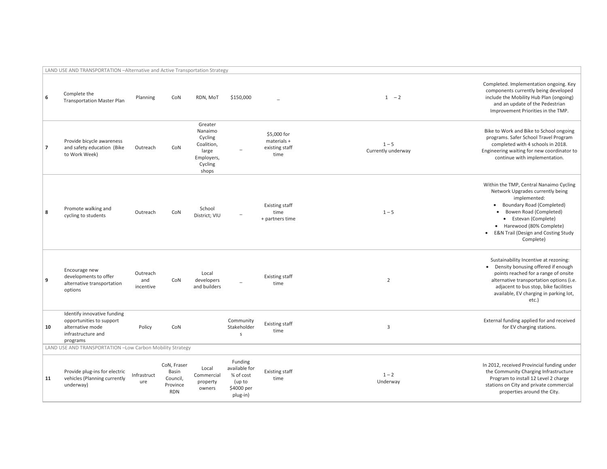| LAND USE AND TRANSPORTATION - Alternative and Active Transportation Strategy |                                                                                                               |                              |                                                            |                                                                                        |                                                                             |                                                      |                               |                                                                                                                                                                                                                                                                                              |  |
|------------------------------------------------------------------------------|---------------------------------------------------------------------------------------------------------------|------------------------------|------------------------------------------------------------|----------------------------------------------------------------------------------------|-----------------------------------------------------------------------------|------------------------------------------------------|-------------------------------|----------------------------------------------------------------------------------------------------------------------------------------------------------------------------------------------------------------------------------------------------------------------------------------------|--|
| 6                                                                            | Complete the<br><b>Transportation Master Plan</b>                                                             | Planning                     | CoN                                                        | RDN, MoT                                                                               | \$150,000                                                                   |                                                      | $1 - 2$                       | Completed. Implementation ongoing. Key<br>components currently being developed<br>include the Mobility Hub Plan (ongoing)<br>and an update of the Pedestrian<br>Improvement Priorities in the TMP.                                                                                           |  |
| $\overline{7}$                                                               | Provide bicycle awareness<br>and safety education (Bike<br>to Work Week)                                      | Outreach                     | CoN                                                        | Greater<br>Nanaimo<br>Cycling<br>Coalition,<br>large<br>Employers,<br>Cycling<br>shops |                                                                             | \$5,000 for<br>materials +<br>existing staff<br>time | $1 - 5$<br>Currently underway | Bike to Work and Bike to School ongoing<br>programs. Safer School Travel Program<br>completed with 4 schools in 2018.<br>Engineering waiting for new coordinator to<br>continue with implementation.                                                                                         |  |
| 8                                                                            | Promote walking and<br>cycling to students                                                                    | Outreach                     | CoN                                                        | School<br>District; VIU                                                                |                                                                             | <b>Existing staff</b><br>time<br>+ partners time     | $1 - 5$                       | Within the TMP, Central Nanaimo Cycling<br>Network Upgrades currently being<br>implemented:<br><b>Boundary Road (Completed)</b><br>• Bowen Road (Completed)<br>• Estevan (Complete)<br>• Harewood (80% Complete)<br><b>E&amp;N Trail (Design and Costing Study</b><br>$\bullet$<br>Complete) |  |
| 9                                                                            | Encourage new<br>developments to offer<br>alternative transportation<br>options                               | Outreach<br>and<br>incentive | CoN                                                        | Local<br>developers<br>and builders                                                    |                                                                             | <b>Existing staff</b><br>time                        | $\overline{2}$                | Sustainability Incentive at rezoning:<br>• Density bonusing offered if enough<br>points reached for a range of onsite<br>alternative transportation options (i.e.<br>adjacent to bus stop, bike facilities<br>available, EV charging in parking lot,<br>etc.)                                |  |
| 10                                                                           | Identify innovative funding<br>opportunities to support<br>alternative mode<br>infrastructure and<br>programs | Policy                       | CoN                                                        |                                                                                        | Community<br>Stakeholder<br>$\mathsf s$                                     | <b>Existing staff</b><br>time                        | 3                             | External funding applied for and received<br>for EV charging stations.                                                                                                                                                                                                                       |  |
| LAND USE AND TRANSPORTATION -Low Carbon Mobility Strategy                    |                                                                                                               |                              |                                                            |                                                                                        |                                                                             |                                                      |                               |                                                                                                                                                                                                                                                                                              |  |
| 11                                                                           | Provide plug-ins for electric<br>vehicles (Planning currently<br>underway)                                    | Infrastruct<br>ure           | CoN, Fraser<br>Basin<br>Council,<br>Province<br><b>RDN</b> | Local<br>Commercial<br>property<br>owners                                              | Funding<br>available for<br>3⁄4 of cost<br>(up to<br>\$4000 per<br>plug-in) | <b>Existing staff</b><br>time                        | $1 - 2$<br>Underway           | In 2012, received Provincial funding under<br>the Community Charging Infrastructure<br>Program to install 12 Level 2 charge<br>stations on City and private commercial<br>properties around the City.                                                                                        |  |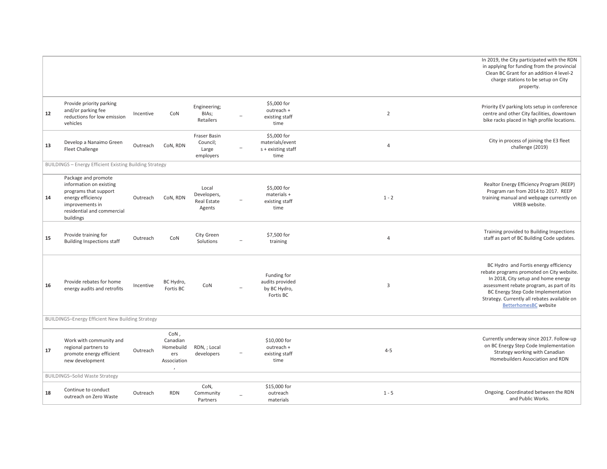|    |                                                                                                                                                            |           |                                                                          |                                                |                                                              |                | In 2019, the City participated with the RDN<br>in applying for funding from the provincial<br>Clean BC Grant for an addition 4 level-2<br>charge stations to be setup on City<br>property.                                                                                                   |
|----|------------------------------------------------------------------------------------------------------------------------------------------------------------|-----------|--------------------------------------------------------------------------|------------------------------------------------|--------------------------------------------------------------|----------------|----------------------------------------------------------------------------------------------------------------------------------------------------------------------------------------------------------------------------------------------------------------------------------------------|
| 12 | Provide priority parking<br>and/or parking fee<br>reductions for low emission<br>vehicles                                                                  | Incentive | CoN                                                                      | Engineering;<br>BIAs;<br>Retailers             | \$5,000 for<br>outreach +<br>existing staff<br>time          | $\overline{2}$ | Priority EV parking lots setup in conference<br>centre and other City facilities, downtown<br>bike racks placed in high profile locations.                                                                                                                                                   |
| 13 | Develop a Nanaimo Green<br><b>Fleet Challenge</b>                                                                                                          | Outreach  | CoN, RDN                                                                 | Fraser Basin<br>Council;<br>Large<br>employers | \$5,000 for<br>materials/event<br>s + existing staff<br>time | $\overline{4}$ | City in process of joining the E3 fleet<br>challenge (2019)                                                                                                                                                                                                                                  |
|    | <b>BUILDINGS - Energy Efficient Existing Building Strategy</b>                                                                                             |           |                                                                          |                                                |                                                              |                |                                                                                                                                                                                                                                                                                              |
| 14 | Package and promote<br>information on existing<br>programs that support<br>energy efficiency<br>improvements in<br>residential and commercial<br>buildings | Outreach  | CoN, RDN                                                                 | Local<br>Developers,<br>Real Estate<br>Agents  | \$5,000 for<br>materials +<br>existing staff<br>time         | $1 - 2$        | Realtor Energy Efficiency Program (REEP)<br>Program ran from 2014 to 2017. REEP<br>training manual and webpage currently on<br>VIREB website.                                                                                                                                                |
| 15 | Provide training for<br><b>Building Inspections staff</b>                                                                                                  | Outreach  | CoN                                                                      | City Green<br>Solutions                        | \$7,500 for<br>training                                      | $\overline{4}$ | Training provided to Building Inspections<br>staff as part of BC Building Code updates.                                                                                                                                                                                                      |
| 16 | Provide rebates for home<br>energy audits and retrofits                                                                                                    | Incentive | BC Hydro,<br>Fortis BC                                                   | CoN                                            | Funding for<br>audits provided<br>by BC Hydro,<br>Fortis BC  | $\overline{3}$ | BC Hydro and Fortis energy efficiency<br>rebate programs promoted on City website.<br>In 2018, City setup and home energy<br>assessment rebate program, as part of its<br>BC Energy Step Code Implementation<br>Strategy. Currently all rebates available on<br><b>BetterhomesBC</b> website |
|    | <b>BUILDINGS-Energy Efficient New Building Strategy</b>                                                                                                    |           |                                                                          |                                                |                                                              |                |                                                                                                                                                                                                                                                                                              |
| 17 | Work with community and<br>regional partners to<br>promote energy efficient<br>new development                                                             | Outreach  | $CoN$ ,<br>Canadian<br>Homebuild<br>ers<br>Association<br>$\overline{ }$ | RDN, ; Local<br>developers                     | \$10,000 for<br>outreach +<br>existing staff<br>time         | $4 - 5$        | Currently underway since 2017. Follow-up<br>on BC Energy Step Code Implementation<br>Strategy working with Canadian<br>Homebuilders Association and RDN                                                                                                                                      |
|    | <b>BUILDINGS-Solid Waste Strategy</b>                                                                                                                      |           |                                                                          |                                                |                                                              |                |                                                                                                                                                                                                                                                                                              |
| 18 | Continue to conduct<br>outreach on Zero Waste                                                                                                              | Outreach  | <b>RDN</b>                                                               | CoN,<br>Community<br>Partners                  | \$15,000 for<br>outreach<br>materials                        | $1 - 5$        | Ongoing. Coordinated between the RDN<br>and Public Works.                                                                                                                                                                                                                                    |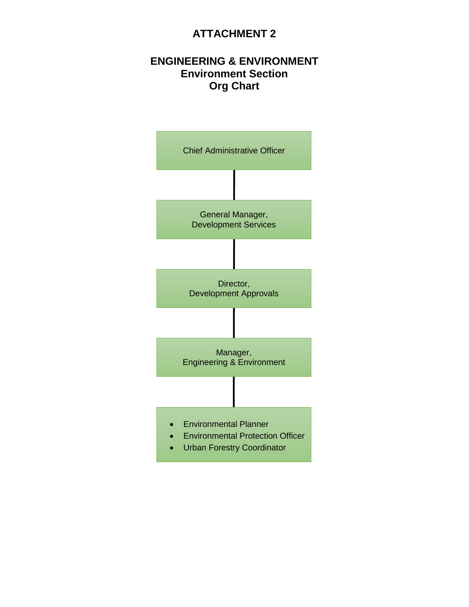## **ATTACHMENT 2**

## **ENGINEERING & ENVIRONMENT Environment Section Org Chart**

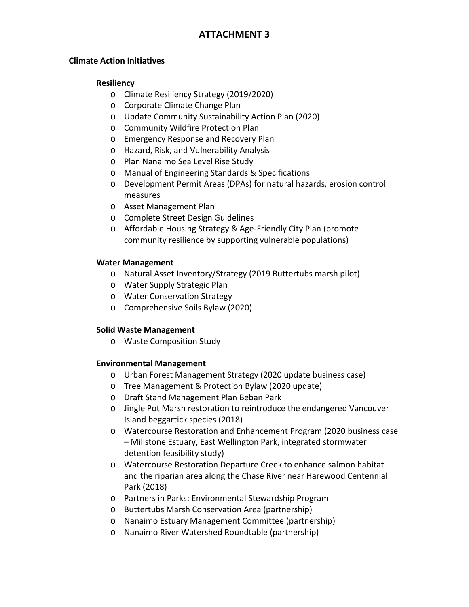## **ATTACHMENT 3**

### **Climate Action Initiatives**

## **Resiliency**

- o Climate Resiliency Strategy (2019/2020)
- o Corporate Climate Change Plan
- o Update Community Sustainability Action Plan (2020)
- o Community Wildfire Protection Plan
- o Emergency Response and Recovery Plan
- o Hazard, Risk, and Vulnerability Analysis
- o Plan Nanaimo Sea Level Rise Study
- o Manual of Engineering Standards & Specifications
- o Development Permit Areas (DPAs) for natural hazards, erosion control measures
- o Asset Management Plan
- o Complete Street Design Guidelines
- o Affordable Housing Strategy & Age-Friendly City Plan (promote community resilience by supporting vulnerable populations)

## **Water Management**

- o Natural Asset Inventory/Strategy (2019 Buttertubs marsh pilot)
- o Water Supply Strategic Plan
- o Water Conservation Strategy
- o Comprehensive Soils Bylaw (2020)

## **Solid Waste Management**

o Waste Composition Study

## **Environmental Management**

- o Urban Forest Management Strategy (2020 update business case)
- o Tree Management & Protection Bylaw (2020 update)
- o Draft Stand Management Plan Beban Park
- o Jingle Pot Marsh restoration to reintroduce the endangered Vancouver Island beggartick species (2018)
- o Watercourse Restoration and Enhancement Program (2020 business case – Millstone Estuary, East Wellington Park, integrated stormwater detention feasibility study)
- o Watercourse Restoration Departure Creek to enhance salmon habitat and the riparian area along the Chase River near Harewood Centennial Park (2018)
- o Partners in Parks: Environmental Stewardship Program
- o Buttertubs Marsh Conservation Area (partnership)
- o Nanaimo Estuary Management Committee (partnership)
- o Nanaimo River Watershed Roundtable (partnership)